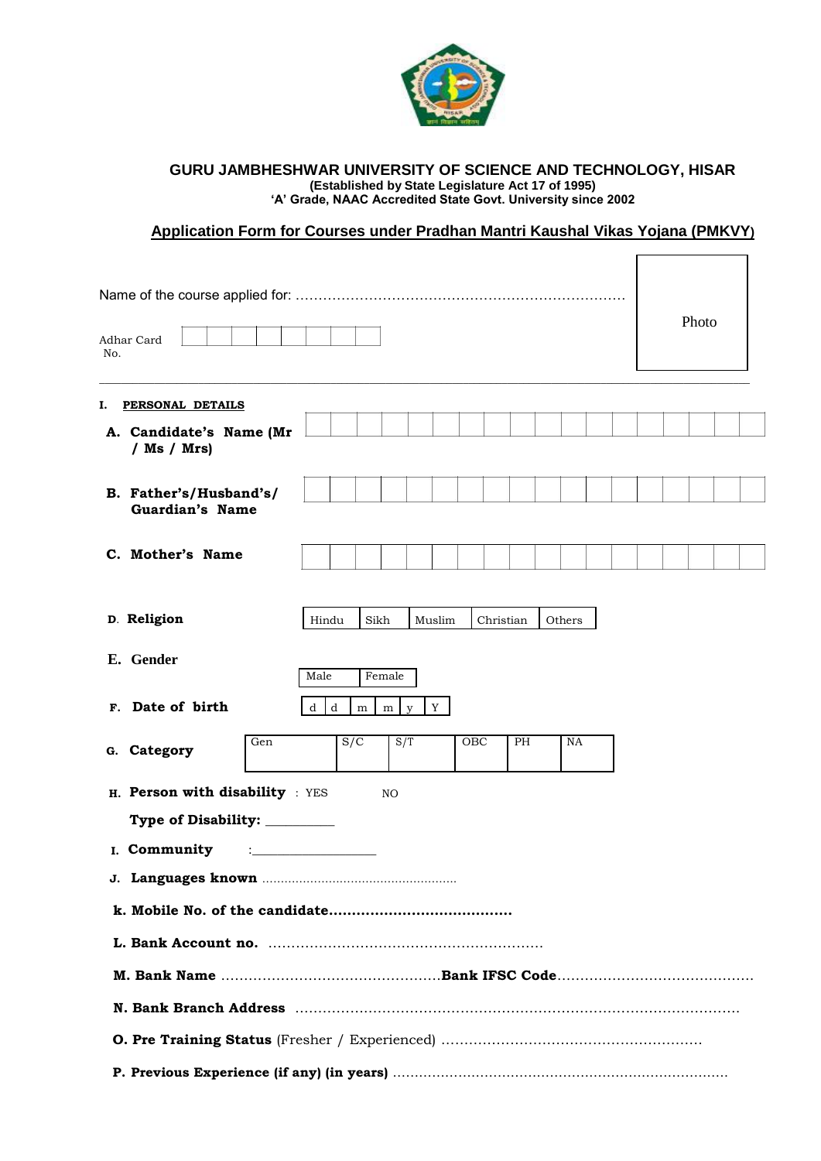

#### **GURU JAMBHESHWAR UNIVERSITY OF SCIENCE AND TECHNOLOGY, HISAR (Established by State Legislature Act 17 of 1995) 'A' Grade, NAAC Accredited State Govt. University since 2002**

# **Application Form for Courses under Pradhan Mantri Kaushal Vikas Yojana (PMKVY)**

| No. | Adhar Card                                |     |        |      |                           |        |     |           |    |        |  |  | Photo |  |
|-----|-------------------------------------------|-----|--------|------|---------------------------|--------|-----|-----------|----|--------|--|--|-------|--|
| I.  | PERSONAL DETAILS                          |     |        |      |                           |        |     |           |    |        |  |  |       |  |
|     | A. Candidate's Name (Mr<br>/ $Ms / Mrs)$  |     |        |      |                           |        |     |           |    |        |  |  |       |  |
|     | B. Father's/Husband's/<br>Guardian's Name |     |        |      |                           |        |     |           |    |        |  |  |       |  |
|     | C. Mother's Name                          |     |        |      |                           |        |     |           |    |        |  |  |       |  |
|     | D. Religion                               |     | Hindu  | Sikh |                           | Muslim |     | Christian |    | Others |  |  |       |  |
|     | E. Gender                                 |     | Male   |      | Female                    |        |     |           |    |        |  |  |       |  |
|     | F. Date of birth                          |     | d<br>d | m    | ${\rm m}$<br>$\mathbf{V}$ | Y      |     |           |    |        |  |  |       |  |
|     | G. Category                               | Gen |        | S/C  | S/T                       |        | OBC |           | РH | NA     |  |  |       |  |
|     | H. Person with disability : YES           |     |        |      | NO                        |        |     |           |    |        |  |  |       |  |
|     | Type of Disability: _________             |     |        |      |                           |        |     |           |    |        |  |  |       |  |
|     | I. Community                              |     |        |      |                           |        |     |           |    |        |  |  |       |  |
|     |                                           |     |        |      |                           |        |     |           |    |        |  |  |       |  |
|     |                                           |     |        |      |                           |        |     |           |    |        |  |  |       |  |
|     |                                           |     |        |      |                           |        |     |           |    |        |  |  |       |  |
|     |                                           |     |        |      |                           |        |     |           |    |        |  |  |       |  |
|     |                                           |     |        |      |                           |        |     |           |    |        |  |  |       |  |
|     |                                           |     |        |      |                           |        |     |           |    |        |  |  |       |  |
|     |                                           |     |        |      |                           |        |     |           |    |        |  |  |       |  |
|     |                                           |     |        |      |                           |        |     |           |    |        |  |  |       |  |